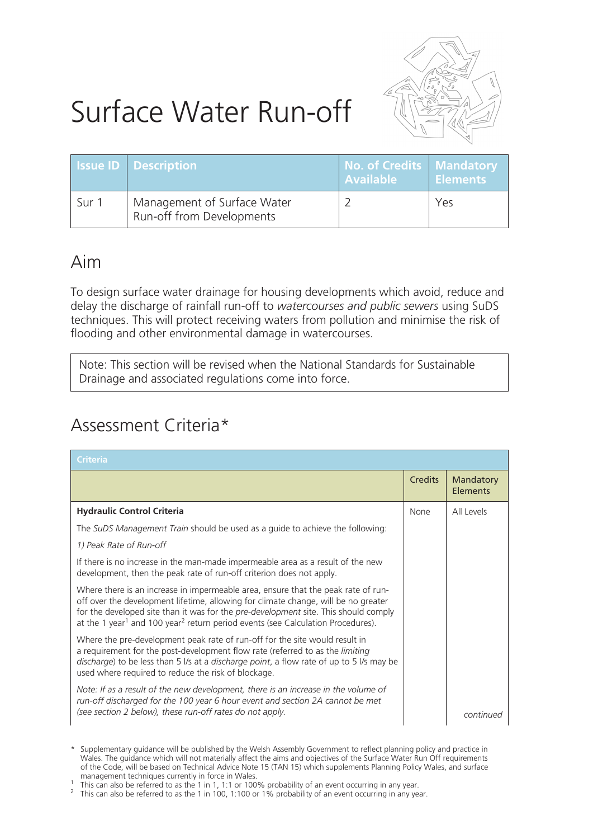

# Surface Water Run-off

|       | <b>Issue ID Description</b>                              | No. of Credits   Mandatory<br><b>Available</b> | <b>Elements</b> |
|-------|----------------------------------------------------------|------------------------------------------------|-----------------|
| Sur 1 | Management of Surface Water<br>Run-off from Developments |                                                | Yes             |

# Aim

To design surface water drainage for housing developments which avoid, reduce and delay the discharge of rainfall run-off to *watercourses and public sewers* using SuDS techniques. This will protect receiving waters from pollution and minimise the risk of flooding and other environmental damage in watercourses.

Note: This section will be revised when the National Standards for Sustainable Drainage and associated regulations come into force.

# Assessment Criteria\*

| <b>Criteria</b>                                                                                                                                                                                                                                                                                                                                                           |         |                       |  |
|---------------------------------------------------------------------------------------------------------------------------------------------------------------------------------------------------------------------------------------------------------------------------------------------------------------------------------------------------------------------------|---------|-----------------------|--|
|                                                                                                                                                                                                                                                                                                                                                                           | Credits | Mandatory<br>Elements |  |
| <b>Hydraulic Control Criteria</b>                                                                                                                                                                                                                                                                                                                                         |         | All Levels            |  |
| The SuDS Management Train should be used as a guide to achieve the following:                                                                                                                                                                                                                                                                                             |         |                       |  |
| 1) Peak Rate of Run-off                                                                                                                                                                                                                                                                                                                                                   |         |                       |  |
| If there is no increase in the man-made impermeable area as a result of the new<br>development, then the peak rate of run-off criterion does not apply.                                                                                                                                                                                                                   |         |                       |  |
| Where there is an increase in impermeable area, ensure that the peak rate of run-<br>off over the development lifetime, allowing for climate change, will be no greater<br>for the developed site than it was for the pre-development site. This should comply<br>at the 1 year <sup>1</sup> and 100 year <sup>2</sup> return period events (see Calculation Procedures). |         |                       |  |
| Where the pre-development peak rate of run-off for the site would result in<br>a requirement for the post-development flow rate (referred to as the <i>limiting</i><br>discharge) to be less than 5 l/s at a discharge point, a flow rate of up to 5 l/s may be<br>used where required to reduce the risk of blockage.                                                    |         |                       |  |
| Note: If as a result of the new development, there is an increase in the volume of<br>run-off discharged for the 100 year 6 hour event and section 2A cannot be met<br>(see section 2 below), these run-off rates do not apply.                                                                                                                                           |         | continued             |  |

\* Supplementary guidance will be published by the Welsh Assembly Government to reflect planning policy and practice in Wales. The guidance which will not materially affect the aims and objectives of the Surface Water Run Off requirements of the Code, will be based on Technical Advice Note 15 (TAN 15) which supplements Planning Policy Wales, and surface management techniques currently in force in Wales.

<sup>&</sup>lt;sup>1</sup> This can also be referred to as the 1 in 1, 1:1 or 100% probability of an event occurring in any year.

<sup>&</sup>lt;sup>2</sup> This can also be referred to as the 1 in 100, 1:100 or 1% probability of an event occurring in any year.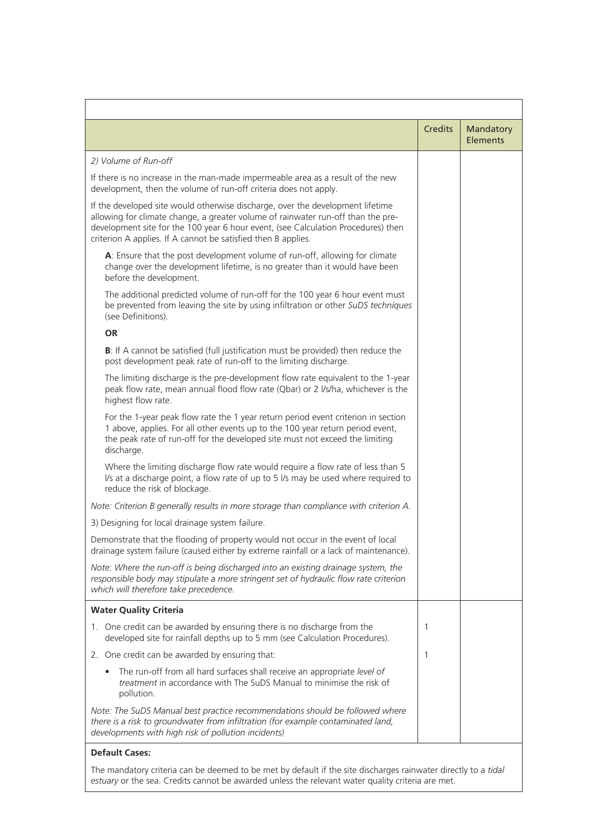|                                                                                                                                                                                                                                                                                                                          | <b>Credits</b> | Mandatory<br><b>Elements</b> |
|--------------------------------------------------------------------------------------------------------------------------------------------------------------------------------------------------------------------------------------------------------------------------------------------------------------------------|----------------|------------------------------|
| 2) Volume of Run-off                                                                                                                                                                                                                                                                                                     |                |                              |
| If there is no increase in the man-made impermeable area as a result of the new<br>development, then the volume of run-off criteria does not apply.                                                                                                                                                                      |                |                              |
| If the developed site would otherwise discharge, over the development lifetime<br>allowing for climate change, a greater volume of rainwater run-off than the pre-<br>development site for the 100 year 6 hour event, (see Calculation Procedures) then<br>criterion A applies. If A cannot be satisfied then B applies. |                |                              |
| A: Ensure that the post development volume of run-off, allowing for climate<br>change over the development lifetime, is no greater than it would have been<br>before the development.                                                                                                                                    |                |                              |
| The additional predicted volume of run-off for the 100 year 6 hour event must<br>be prevented from leaving the site by using infiltration or other SuDS techniques<br>(see Definitions).                                                                                                                                 |                |                              |
| <b>OR</b>                                                                                                                                                                                                                                                                                                                |                |                              |
| B: If A cannot be satisfied (full justification must be provided) then reduce the<br>post development peak rate of run-off to the limiting discharge.                                                                                                                                                                    |                |                              |
| The limiting discharge is the pre-development flow rate equivalent to the 1-year<br>peak flow rate, mean annual flood flow rate (Qbar) or 2 l/s/ha, whichever is the<br>highest flow rate.                                                                                                                               |                |                              |
| For the 1-year peak flow rate the 1 year return period event criterion in section<br>1 above, applies. For all other events up to the 100 year return period event,<br>the peak rate of run-off for the developed site must not exceed the limiting<br>discharge.                                                        |                |                              |
| Where the limiting discharge flow rate would require a flow rate of less than 5<br>I/s at a discharge point, a flow rate of up to 5 I/s may be used where required to<br>reduce the risk of blockage.                                                                                                                    |                |                              |
| Note: Criterion B generally results in more storage than compliance with criterion A.                                                                                                                                                                                                                                    |                |                              |
| 3) Designing for local drainage system failure.                                                                                                                                                                                                                                                                          |                |                              |
| Demonstrate that the flooding of property would not occur in the event of local<br>drainage system failure (caused either by extreme rainfall or a lack of maintenance).                                                                                                                                                 |                |                              |
| Note: Where the run-off is being discharged into an existing drainage system, the<br>responsible body may stipulate a more stringent set of hydraulic flow rate criterion<br>which will therefore take precedence.                                                                                                       |                |                              |
| <b>Water Quality Criteria</b>                                                                                                                                                                                                                                                                                            |                |                              |
| 1. One credit can be awarded by ensuring there is no discharge from the<br>developed site for rainfall depths up to 5 mm (see Calculation Procedures).                                                                                                                                                                   | $\mathbf{1}$   |                              |
| 2. One credit can be awarded by ensuring that:                                                                                                                                                                                                                                                                           | $\mathbf{1}$   |                              |
| The run-off from all hard surfaces shall receive an appropriate level of<br><i>treatment</i> in accordance with The SuDS Manual to minimise the risk of<br>pollution.                                                                                                                                                    |                |                              |
| Note: The SuDS Manual best practice recommendations should be followed where<br>there is a risk to groundwater from infiltration (for example contaminated land,<br>developments with high risk of pollution incidents)                                                                                                  |                |                              |
| <b>Default Cases:</b>                                                                                                                                                                                                                                                                                                    |                |                              |

The mandatory criteria can be deemed to be met by default if the site discharges rainwater directly to a *tidal estuary* or the sea. Credits cannot be awarded unless the relevant water quality criteria are met.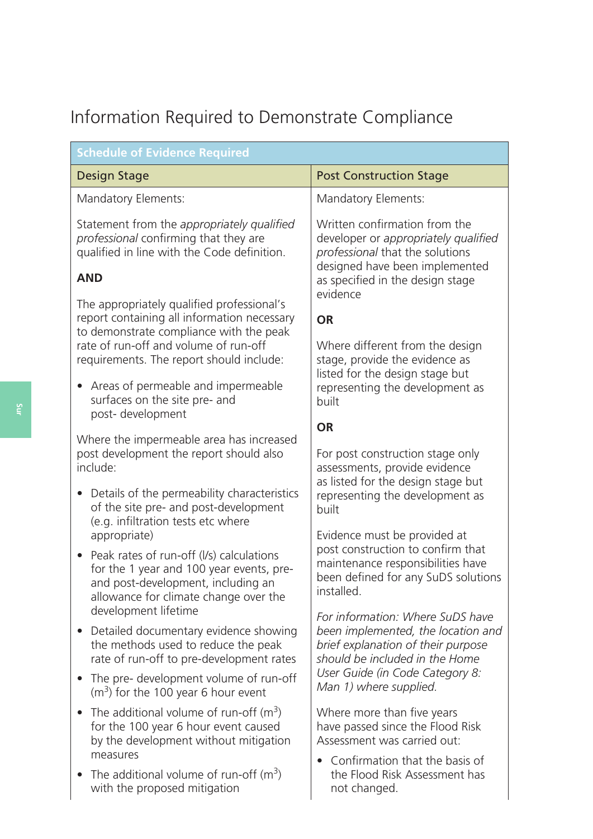# Information Required to Demonstrate Compliance

| <b>Schedule of Evidence Required</b>                                                                                                                                |                                                                                                                                                                                            |  |
|---------------------------------------------------------------------------------------------------------------------------------------------------------------------|--------------------------------------------------------------------------------------------------------------------------------------------------------------------------------------------|--|
| <b>Design Stage</b>                                                                                                                                                 | <b>Post Construction Stage</b>                                                                                                                                                             |  |
| Mandatory Elements:                                                                                                                                                 | Mandatory Elements:                                                                                                                                                                        |  |
| Statement from the appropriately qualified<br>professional confirming that they are<br>qualified in line with the Code definition.                                  | Written confirmation from the<br>developer or appropriately qualified<br>professional that the solutions<br>designed have been implemented<br>as specified in the design stage<br>evidence |  |
| <b>AND</b>                                                                                                                                                          |                                                                                                                                                                                            |  |
| The appropriately qualified professional's<br>report containing all information necessary                                                                           | <b>OR</b>                                                                                                                                                                                  |  |
| to demonstrate compliance with the peak<br>rate of run-off and volume of run-off<br>requirements. The report should include:                                        | Where different from the design<br>stage, provide the evidence as<br>listed for the design stage but                                                                                       |  |
| Areas of permeable and impermeable<br>$\bullet$<br>surfaces on the site pre- and<br>post- development                                                               | representing the development as<br>built                                                                                                                                                   |  |
| Where the impermeable area has increased                                                                                                                            | <b>OR</b>                                                                                                                                                                                  |  |
| post development the report should also<br>include:                                                                                                                 | For post construction stage only<br>assessments, provide evidence<br>as listed for the design stage but                                                                                    |  |
| Details of the permeability characteristics<br>$\bullet$<br>of the site pre- and post-development<br>(e.g. infiltration tests etc where                             | representing the development as<br>built                                                                                                                                                   |  |
| appropriate)                                                                                                                                                        | Evidence must be provided at<br>post construction to confirm that                                                                                                                          |  |
| Peak rates of run-off (I/s) calculations<br>for the 1 year and 100 year events, pre-<br>and post-development, including an<br>allowance for climate change over the | maintenance responsibilities have<br>been defined for any SuDS solutions<br>installed.                                                                                                     |  |
| development lifetime<br>Detailed documentary evidence showing<br>$\bullet$                                                                                          | For information: Where SuDS have                                                                                                                                                           |  |
| the methods used to reduce the peak<br>rate of run-off to pre-development rates                                                                                     | been implemented, the location and<br>brief explanation of their purpose<br>should be included in the Home                                                                                 |  |
| The pre- development volume of run-off<br>$(m3)$ for the 100 year 6 hour event                                                                                      | User Guide (in Code Category 8:<br>Man 1) where supplied.                                                                                                                                  |  |
| The additional volume of run-off $(m^3)$<br>$\bullet$<br>for the 100 year 6 hour event caused<br>by the development without mitigation<br>measures                  | Where more than five years<br>have passed since the Flood Risk<br>Assessment was carried out:<br>Confirmation that the basis of                                                            |  |
| The additional volume of run-off $(m^3)$<br>with the proposed mitigation                                                                                            | the Flood Risk Assessment has<br>not changed.                                                                                                                                              |  |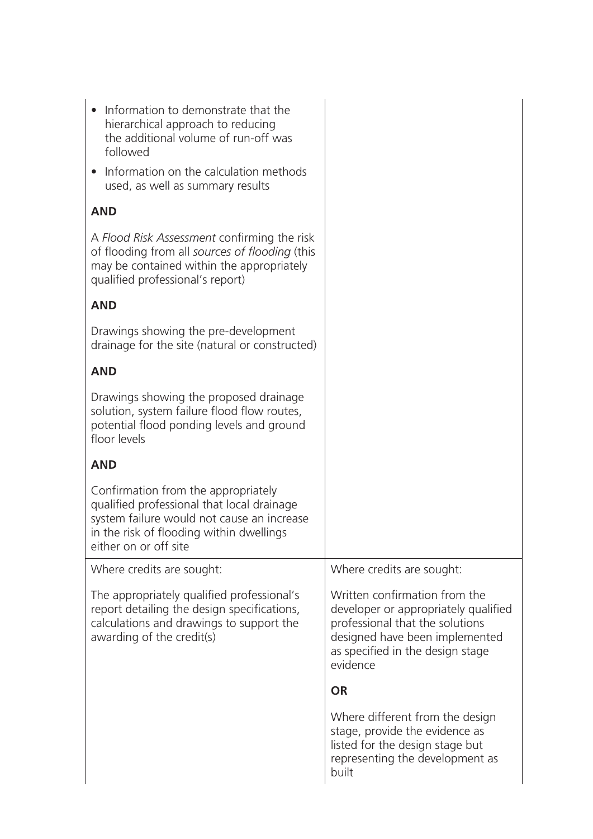| Information to demonstrate that the<br>hierarchical approach to reducing<br>the additional volume of run-off was<br>followed                                                                         |                                                                                                                                                                                            |
|------------------------------------------------------------------------------------------------------------------------------------------------------------------------------------------------------|--------------------------------------------------------------------------------------------------------------------------------------------------------------------------------------------|
| Information on the calculation methods<br>used, as well as summary results                                                                                                                           |                                                                                                                                                                                            |
| <b>AND</b>                                                                                                                                                                                           |                                                                                                                                                                                            |
| A Flood Risk Assessment confirming the risk<br>of flooding from all sources of flooding (this<br>may be contained within the appropriately<br>qualified professional's report)                       |                                                                                                                                                                                            |
| <b>AND</b>                                                                                                                                                                                           |                                                                                                                                                                                            |
| Drawings showing the pre-development<br>drainage for the site (natural or constructed)                                                                                                               |                                                                                                                                                                                            |
| <b>AND</b>                                                                                                                                                                                           |                                                                                                                                                                                            |
| Drawings showing the proposed drainage<br>solution, system failure flood flow routes,<br>potential flood ponding levels and ground<br>floor levels                                                   |                                                                                                                                                                                            |
| <b>AND</b>                                                                                                                                                                                           |                                                                                                                                                                                            |
| Confirmation from the appropriately<br>qualified professional that local drainage<br>system failure would not cause an increase<br>in the risk of flooding within dwellings<br>either on or off site |                                                                                                                                                                                            |
| Where credits are sought:                                                                                                                                                                            | Where credits are sought:                                                                                                                                                                  |
| The appropriately qualified professional's<br>report detailing the design specifications,<br>calculations and drawings to support the<br>awarding of the credit(s)                                   | Written confirmation from the<br>developer or appropriately qualified<br>professional that the solutions<br>designed have been implemented<br>as specified in the design stage<br>evidence |
|                                                                                                                                                                                                      | <b>OR</b>                                                                                                                                                                                  |
|                                                                                                                                                                                                      | Where different from the design<br>stage, provide the evidence as<br>listed for the design stage but<br>representing the development as<br>built                                           |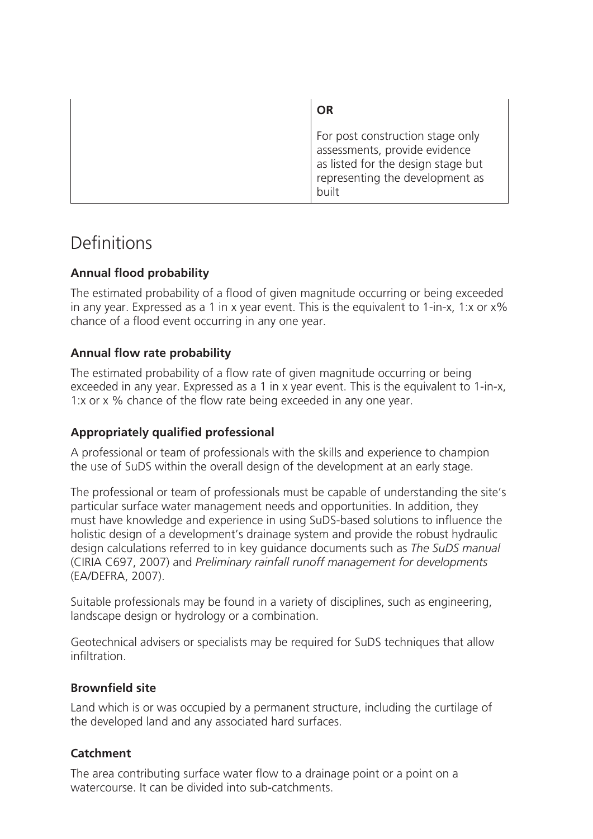| <b>OR</b>                                                                                                                                           |
|-----------------------------------------------------------------------------------------------------------------------------------------------------|
| For post construction stage only<br>assessments, provide evidence<br>as listed for the design stage but<br>representing the development as<br>built |

### **Definitions**

#### **Annual flood probability**

The estimated probability of a flood of given magnitude occurring or being exceeded in any year. Expressed as a 1 in x year event. This is the equivalent to 1-in-x, 1:x or x% chance of a flood event occurring in any one year.

#### **Annual flow rate probability**

The estimated probability of a flow rate of given magnitude occurring or being exceeded in any year. Expressed as a 1 in x year event. This is the equivalent to 1-in-x, 1:x or x % chance of the flow rate being exceeded in any one year.

#### **Appropriately qualified professional**

A professional or team of professionals with the skills and experience to champion the use of SuDS within the overall design of the development at an early stage.

The professional or team of professionals must be capable of understanding the site's particular surface water management needs and opportunities. In addition, they must have knowledge and experience in using SuDS-based solutions to influence the holistic design of a development's drainage system and provide the robust hydraulic design calculations referred to in key guidance documents such as *The SuDS manual* (CIRIA C697, 2007) and *Preliminary rainfall runoff management for developments* (EA/DEFRA, 2007).

Suitable professionals may be found in a variety of disciplines, such as engineering, landscape design or hydrology or a combination.

Geotechnical advisers or specialists may be required for SuDS techniques that allow infiltration.

#### **Brownfield site**

Land which is or was occupied by a permanent structure, including the curtilage of the developed land and any associated hard surfaces.

#### **Catchment**

The area contributing surface water flow to a drainage point or a point on a watercourse. It can be divided into sub-catchments.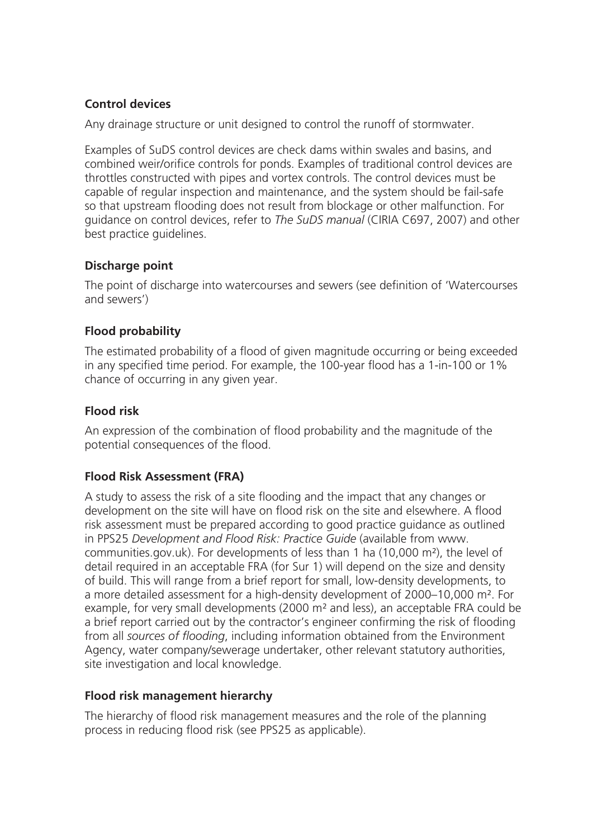#### **Control devices**

Any drainage structure or unit designed to control the runoff of stormwater.

Examples of SuDS control devices are check dams within swales and basins, and combined weir/orifice controls for ponds. Examples of traditional control devices are throttles constructed with pipes and vortex controls. The control devices must be capable of regular inspection and maintenance, and the system should be fail-safe so that upstream flooding does not result from blockage or other malfunction. For guidance on control devices, refer to *The SuDS manual* (CIRIA C697, 2007) and other best practice guidelines.

#### **Discharge point**

The point of discharge into watercourses and sewers (see definition of 'Watercourses and sewers')

#### **Flood probability**

The estimated probability of a flood of given magnitude occurring or being exceeded in any specified time period. For example, the 100-year flood has a 1-in-100 or 1% chance of occurring in any given year.

#### **Flood risk**

An expression of the combination of flood probability and the magnitude of the potential consequences of the flood.

#### **Flood Risk Assessment (FRA)**

A study to assess the risk of a site flooding and the impact that any changes or development on the site will have on flood risk on the site and elsewhere. A flood risk assessment must be prepared according to good practice guidance as outlined in PPS25 *Development and Flood Risk: Practice Guide* (available from www. communities.gov.uk). For developments of less than 1 ha (10,000 m²), the level of detail required in an acceptable FRA (for Sur 1) will depend on the size and density of build. This will range from a brief report for small, low-density developments, to a more detailed assessment for a high-density development of 2000–10,000 m². For example, for very small developments (2000 m² and less), an acceptable FRA could be a brief report carried out by the contractor's engineer confirming the risk of flooding from all *sources of flooding*, including information obtained from the Environment Agency, water company/sewerage undertaker, other relevant statutory authorities, site investigation and local knowledge.

#### **Flood risk management hierarchy**

The hierarchy of flood risk management measures and the role of the planning process in reducing flood risk (see PPS25 as applicable).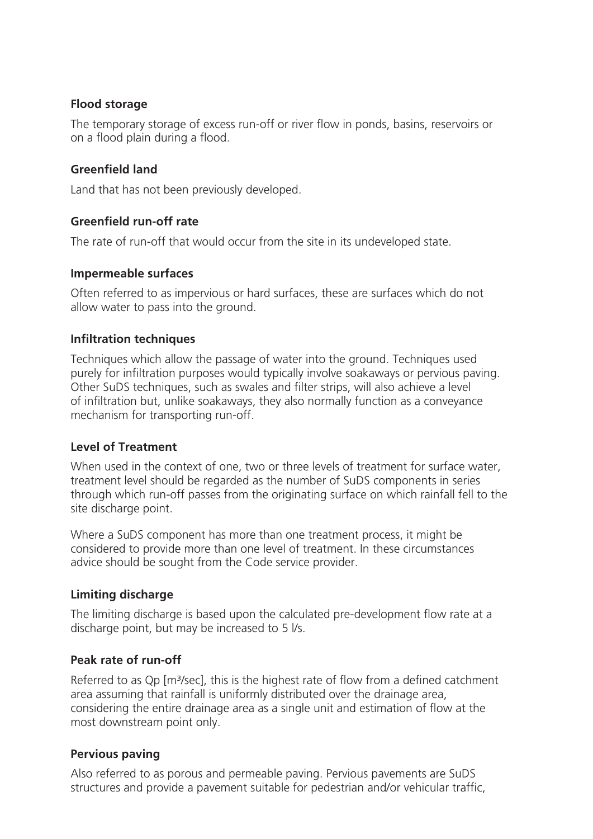#### **Flood storage**

The temporary storage of excess run-off or river flow in ponds, basins, reservoirs or on a flood plain during a flood.

#### **Greenfield land**

Land that has not been previously developed.

#### **Greenfield run-off rate**

The rate of run-off that would occur from the site in its undeveloped state.

#### **Impermeable surfaces**

Often referred to as impervious or hard surfaces, these are surfaces which do not allow water to pass into the ground.

#### **Infiltration techniques**

Techniques which allow the passage of water into the ground. Techniques used purely for infiltration purposes would typically involve soakaways or pervious paving. Other SuDS techniques, such as swales and filter strips, will also achieve a level of infiltration but, unlike soakaways, they also normally function as a conveyance mechanism for transporting run-off.

#### **Level of Treatment**

When used in the context of one, two or three levels of treatment for surface water, treatment level should be regarded as the number of SuDS components in series through which run-off passes from the originating surface on which rainfall fell to the site discharge point.

Where a SuDS component has more than one treatment process, it might be considered to provide more than one level of treatment. In these circumstances advice should be sought from the Code service provider.

#### **Limiting discharge**

The limiting discharge is based upon the calculated pre-development flow rate at a discharge point, but may be increased to 5 l/s.

#### **Peak rate of run-off**

Referred to as Op  $[m^3/\text{sec}]$ , this is the highest rate of flow from a defined catchment area assuming that rainfall is uniformly distributed over the drainage area, considering the entire drainage area as a single unit and estimation of flow at the most downstream point only.

#### **Pervious paving**

Also referred to as porous and permeable paving. Pervious pavements are SuDS structures and provide a pavement suitable for pedestrian and/or vehicular traffic,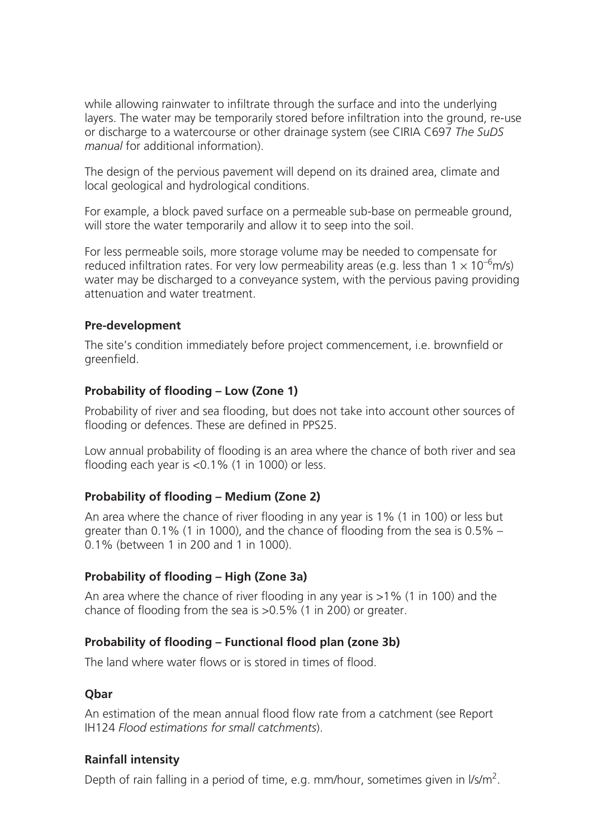while allowing rainwater to infiltrate through the surface and into the underlying layers. The water may be temporarily stored before infiltration into the ground, re-use or discharge to a watercourse or other drainage system (see CIRIA C697 *The SuDS manual* for additional information).

The design of the pervious pavement will depend on its drained area, climate and local geological and hydrological conditions.

For example, a block paved surface on a permeable sub-base on permeable ground, will store the water temporarily and allow it to seep into the soil.

For less permeable soils, more storage volume may be needed to compensate for reduced infiltration rates. For very low permeability areas (e.g. less than  $1 \times 10^{-6}$ m/s) water may be discharged to a conveyance system, with the pervious paving providing attenuation and water treatment.

#### **Pre-development**

The site's condition immediately before project commencement, i.e. brownfield or greenfield.

#### **Probability of flooding – Low (Zone 1)**

Probability of river and sea flooding, but does not take into account other sources of flooding or defences. These are defined in PPS25.

Low annual probability of flooding is an area where the chance of both river and sea flooding each year is  $<$  0.1% (1 in 1000) or less.

#### **Probability of flooding – Medium (Zone 2)**

An area where the chance of river flooding in any year is 1% (1 in 100) or less but greater than 0.1% (1 in 1000), and the chance of flooding from the sea is 0.5% – 0.1% (between 1 in 200 and 1 in 1000).

#### **Probability of flooding – High (Zone 3a)**

An area where the chance of river flooding in any year is >1% (1 in 100) and the chance of flooding from the sea is >0.5% (1 in 200) or greater.

#### **Probability of flooding – Functional flood plan (zone 3b)**

The land where water flows or is stored in times of flood.

#### **Qbar**

An estimation of the mean annual flood flow rate from a catchment (see Report IH124 *Flood estimations for small catchments*).

#### **Rainfall intensity**

Depth of rain falling in a period of time, e.g. mm/hour, sometimes given in I/s/m<sup>2</sup>.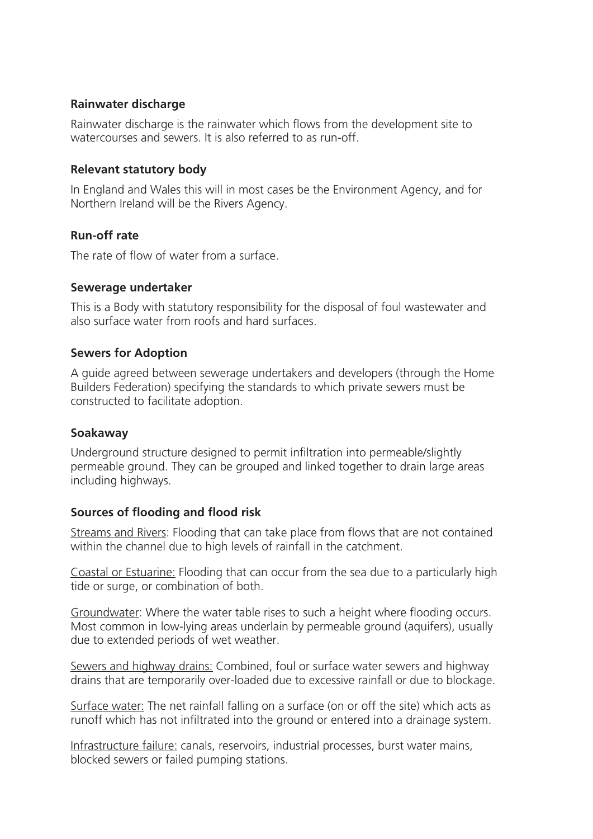#### **Rainwater discharge**

Rainwater discharge is the rainwater which flows from the development site to watercourses and sewers. It is also referred to as run-off.

#### **Relevant statutory body**

In England and Wales this will in most cases be the Environment Agency, and for Northern Ireland will be the Rivers Agency.

#### **Run-off rate**

The rate of flow of water from a surface.

#### **Sewerage undertaker**

This is a Body with statutory responsibility for the disposal of foul wastewater and also surface water from roofs and hard surfaces.

#### **Sewers for Adoption**

A guide agreed between sewerage undertakers and developers (through the Home Builders Federation) specifying the standards to which private sewers must be constructed to facilitate adoption.

#### **Soakaway**

Underground structure designed to permit infiltration into permeable/slightly permeable ground. They can be grouped and linked together to drain large areas including highways.

#### **Sources of flooding and flood risk**

Streams and Rivers: Flooding that can take place from flows that are not contained within the channel due to high levels of rainfall in the catchment.

Coastal or Estuarine: Flooding that can occur from the sea due to a particularly high tide or surge, or combination of both.

Groundwater: Where the water table rises to such a height where flooding occurs. Most common in low-lying areas underlain by permeable ground (aquifers), usually due to extended periods of wet weather.

Sewers and highway drains: Combined, foul or surface water sewers and highway drains that are temporarily over-loaded due to excessive rainfall or due to blockage.

Surface water: The net rainfall falling on a surface (on or off the site) which acts as runoff which has not infiltrated into the ground or entered into a drainage system.

Infrastructure failure: canals, reservoirs, industrial processes, burst water mains, blocked sewers or failed pumping stations.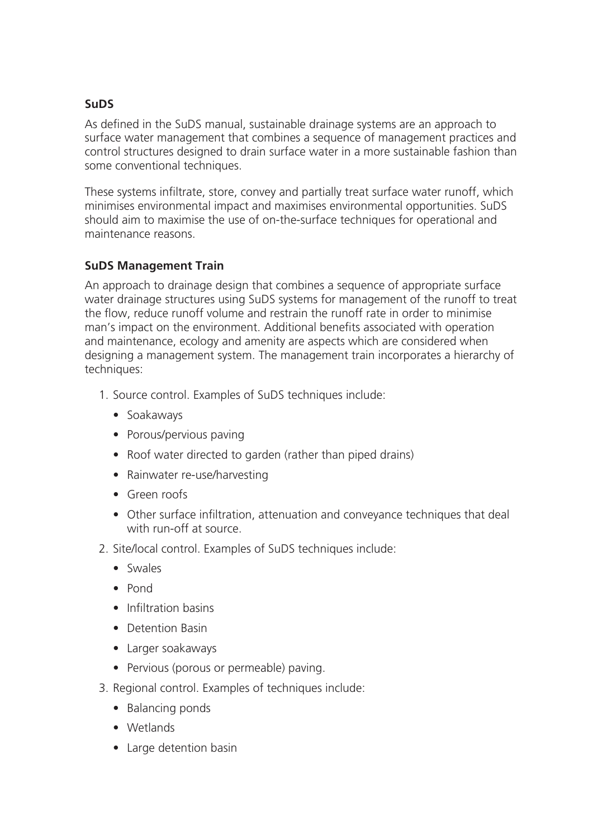#### **SuDS**

As defined in the SuDS manual, sustainable drainage systems are an approach to surface water management that combines a sequence of management practices and control structures designed to drain surface water in a more sustainable fashion than some conventional techniques.

These systems infiltrate, store, convey and partially treat surface water runoff, which minimises environmental impact and maximises environmental opportunities. SuDS should aim to maximise the use of on-the-surface techniques for operational and maintenance reasons.

#### **SuDS Management Train**

An approach to drainage design that combines a sequence of appropriate surface water drainage structures using SuDS systems for management of the runoff to treat the flow, reduce runoff volume and restrain the runoff rate in order to minimise man's impact on the environment. Additional benefits associated with operation and maintenance, ecology and amenity are aspects which are considered when designing a management system. The management train incorporates a hierarchy of techniques:

- 1. Source control. Examples of SuDS techniques include:
	- Soakaways
	- Porous/pervious paving
	- Roof water directed to garden (rather than piped drains)
	- Rainwater re-use/harvesting
	- Green roofs
	- Other surface infiltration, attenuation and conveyance techniques that deal with run-off at source.
- 2. Site/local control. Examples of SuDS techniques include:
	- Swales
	- Pond
	- Infiltration basins
	- Detention Basin
	- Larger soakaways
	- Pervious (porous or permeable) paving.
- 3. Regional control. Examples of techniques include:
	- Balancing ponds
	- Wetlands
	- Large detention basin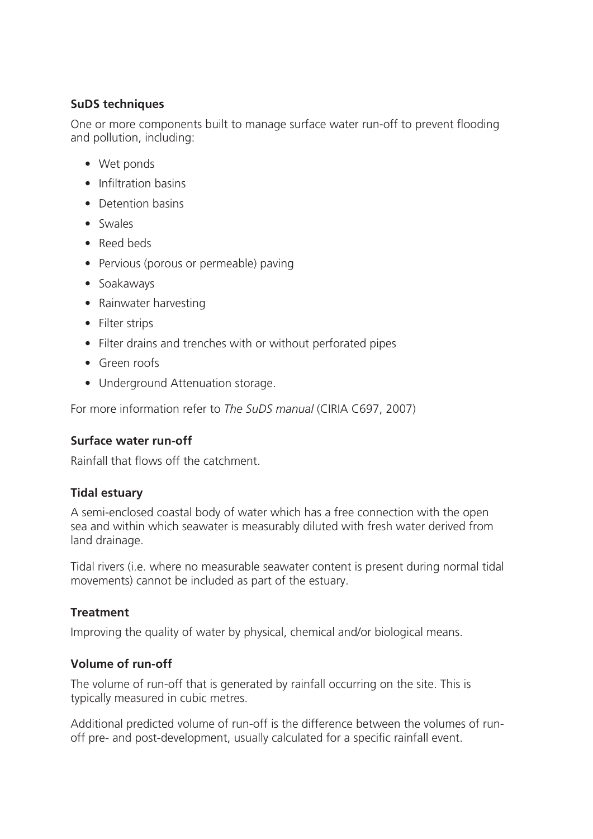#### **SuDS techniques**

One or more components built to manage surface water run-off to prevent flooding and pollution, including:

- Wet ponds
- Infiltration basins
- Detention basins
- Swales
- Reed beds
- Pervious (porous or permeable) paving
- Soakaways
- Rainwater harvesting
- Filter strips
- Filter drains and trenches with or without perforated pipes
- Green roofs
- Underground Attenuation storage.

For more information refer to *The SuDS manual* (CIRIA C697, 2007)

#### **Surface water run-off**

Rainfall that flows off the catchment.

#### **Tidal estuary**

A semi-enclosed coastal body of water which has a free connection with the open sea and within which seawater is measurably diluted with fresh water derived from land drainage.

Tidal rivers (i.e. where no measurable seawater content is present during normal tidal movements) cannot be included as part of the estuary.

#### **Treatment**

Improving the quality of water by physical, chemical and/or biological means.

#### **Volume of run-off**

The volume of run-off that is generated by rainfall occurring on the site. This is typically measured in cubic metres.

Additional predicted volume of run-off is the difference between the volumes of runoff pre- and post-development, usually calculated for a specific rainfall event.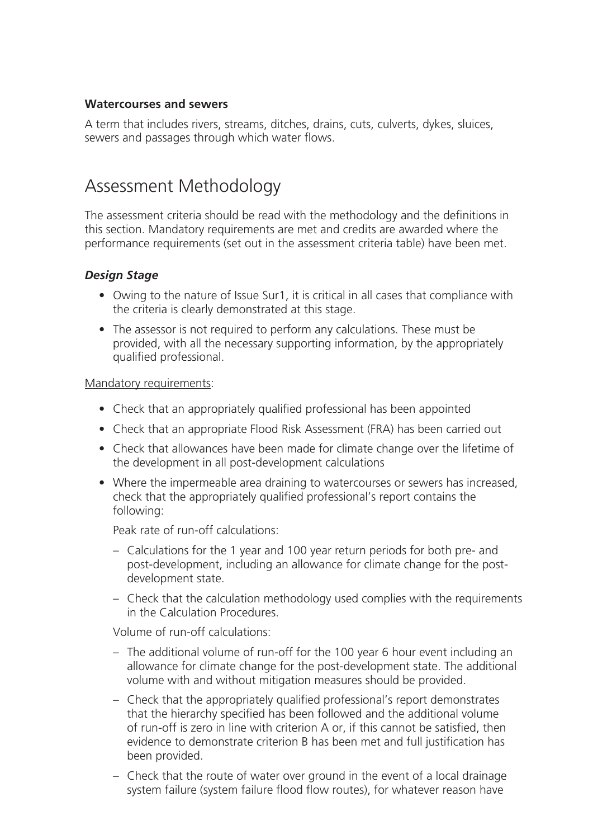#### **Watercourses and sewers**

A term that includes rivers, streams, ditches, drains, cuts, culverts, dykes, sluices, sewers and passages through which water flows.

# Assessment Methodology

The assessment criteria should be read with the methodology and the definitions in this section. Mandatory requirements are met and credits are awarded where the performance requirements (set out in the assessment criteria table) have been met.

#### *Design Stage*

- Owing to the nature of Issue Sur1, it is critical in all cases that compliance with the criteria is clearly demonstrated at this stage.
- The assessor is not required to perform any calculations. These must be provided, with all the necessary supporting information, by the appropriately qualified professional.

#### Mandatory requirements:

- Check that an appropriately qualified professional has been appointed
- Check that an appropriate Flood Risk Assessment (FRA) has been carried out
- Check that allowances have been made for climate change over the lifetime of the development in all post-development calculations
- Where the impermeable area draining to watercourses or sewers has increased, check that the appropriately qualified professional's report contains the following:

Peak rate of run-off calculations:

- Calculations for the 1 year and 100 year return periods for both pre- and post-development, including an allowance for climate change for the post development state.
- Check that the calculation methodology used complies with the requirements in the Calculation Procedures.

Volume of run-off calculations:

- The additional volume of run-off for the 100 year 6 hour event including an allowance for climate change for the post-development state. The additional volume with and without mitigation measures should be provided.
- Check that the appropriately qualified professional's report demonstrates that the hierarchy specified has been followed and the additional volume of run-off is zero in line with criterion A or, if this cannot be satisfied, then evidence to demonstrate criterion B has been met and full justification has been provided.
- Check that the route of water over ground in the event of a local drainage system failure (system failure flood flow routes), for whatever reason have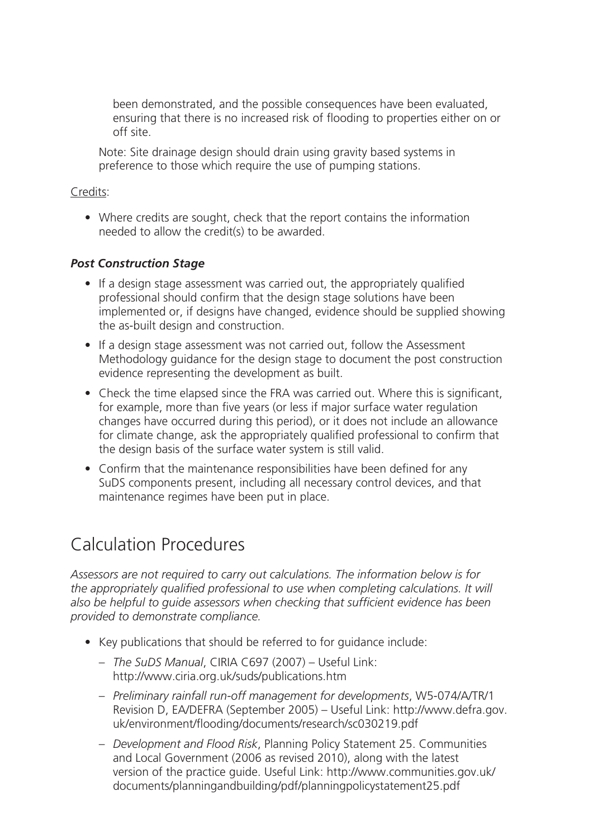been demonstrated, and the possible consequences have been evaluated, ensuring that there is no increased risk of flooding to properties either on or off site.

Note: Site drainage design should drain using gravity based systems in preference to those which require the use of pumping stations.

#### Credits:

• Where credits are sought, check that the report contains the information needed to allow the credit(s) to be awarded.

#### *Post Construction Stage*

- If a design stage assessment was carried out, the appropriately qualified professional should confirm that the design stage solutions have been implemented or, if designs have changed, evidence should be supplied showing the as-built design and construction.
- If a design stage assessment was not carried out, follow the Assessment Methodology guidance for the design stage to document the post construction evidence representing the development as built.
- Check the time elapsed since the FRA was carried out. Where this is significant, for example, more than five years (or less if major surface water regulation changes have occurred during this period), or it does not include an allowance for climate change, ask the appropriately qualified professional to confirm that the design basis of the surface water system is still valid.
- Confirm that the maintenance responsibilities have been defined for any SuDS components present, including all necessary control devices, and that maintenance regimes have been put in place.

# Calculation Procedures

*Assessors are not required to carry out calculations. The information below is for the appropriately qualified professional to use when completing calculations. It will also be helpful to guide assessors when checking that sufficient evidence has been provided to demonstrate compliance.*

- Key publications that should be referred to for guidance include:
	- *The SuDS Manual*, CIRIA C697 (2007) Useful Link: http://www.ciria.org.uk/suds/publications.htm
	- *Preliminary rainfall run-off management for developments*, W5-074/A/TR/1 Revision D, EA/DEFRA (September 2005) – Useful Link: http://www.defra.gov. uk/environment/flooding/documents/research/sc030219.pdf
	- *Development and Flood Risk*, Planning Policy Statement 25. Communities and Local Government (2006 as revised 2010), along with the latest version of the practice guide. Useful Link: http://www.communities.gov.uk/ documents/planningandbuilding/pdf/planningpolicystatement25.pdf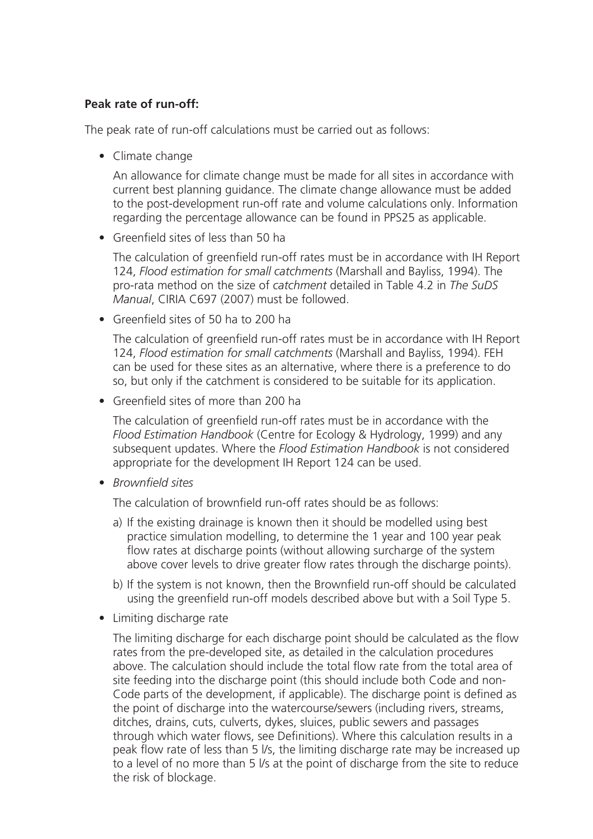#### **Peak rate of run-off:**

The peak rate of run-off calculations must be carried out as follows:

• Climate change

An allowance for climate change must be made for all sites in accordance with current best planning guidance. The climate change allowance must be added to the post-development run-off rate and volume calculations only. Information regarding the percentage allowance can be found in PPS25 as applicable.

• Greenfield sites of less than 50 ha

The calculation of greenfield run-off rates must be in accordance with IH Report 124, *Flood estimation for small catchments* (Marshall and Bayliss, 1994). The pro-rata method on the size of *catchment* detailed in Table 4.2 in *The SuDS Manual*, CIRIA C697 (2007) must be followed.

• Greenfield sites of 50 ha to 200 ha

The calculation of greenfield run-off rates must be in accordance with IH Report 124, *Flood estimation for small catchments* (Marshall and Bayliss, 1994). FEH can be used for these sites as an alternative, where there is a preference to do so, but only if the catchment is considered to be suitable for its application.

• Greenfield sites of more than 200 ha

The calculation of greenfield run-off rates must be in accordance with the *Flood Estimation Handbook* (Centre for Ecology & Hydrology, 1999) and any subsequent updates. Where the *Flood Estimation Handbook* is not considered appropriate for the development IH Report 124 can be used.

• *Brownfield sites*

The calculation of brownfield run-off rates should be as follows:

- a) If the existing drainage is known then it should be modelled using best practice simulation modelling, to determine the 1 year and 100 year peak flow rates at discharge points (without allowing surcharge of the system above cover levels to drive greater flow rates through the discharge points).
- b) If the system is not known, then the Brownfield run-off should be calculated using the greenfield run-off models described above but with a Soil Type 5.
- Limiting discharge rate

The limiting discharge for each discharge point should be calculated as the flow rates from the pre-developed site, as detailed in the calculation procedures above. The calculation should include the total flow rate from the total area of site feeding into the discharge point (this should include both Code and non-Code parts of the development, if applicable). The discharge point is defined as the point of discharge into the watercourse/sewers (including rivers, streams, ditches, drains, cuts, culverts, dykes, sluices, public sewers and passages through which water flows, see Definitions). Where this calculation results in a peak flow rate of less than 5 l/s, the limiting discharge rate may be increased up to a level of no more than 5 l/s at the point of discharge from the site to reduce the risk of blockage.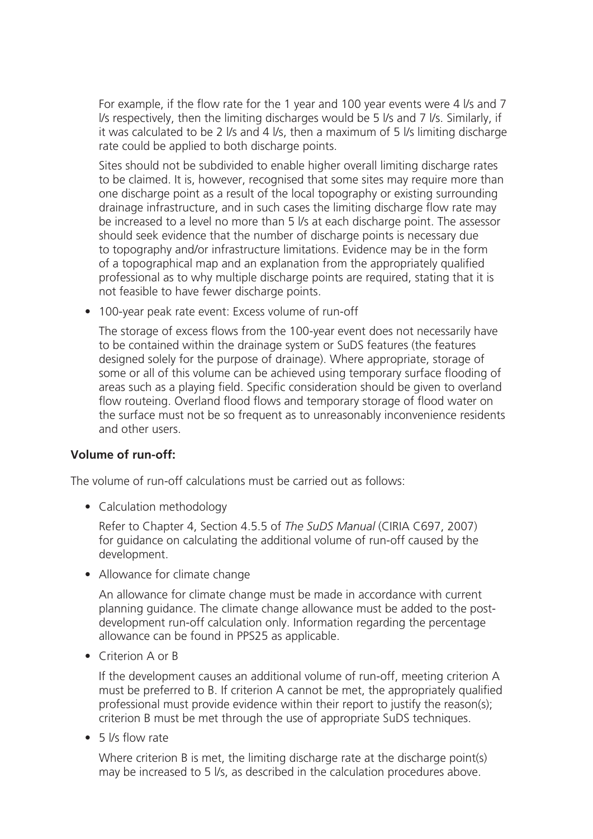For example, if the flow rate for the 1 year and 100 year events were 4 l/s and 7 l/s respectively, then the limiting discharges would be 5 l/s and 7 l/s. Similarly, if it was calculated to be 2 l/s and 4 l/s, then a maximum of 5 l/s limiting discharge rate could be applied to both discharge points.

Sites should not be subdivided to enable higher overall limiting discharge rates to be claimed. It is, however, recognised that some sites may require more than one discharge point as a result of the local topography or existing surrounding drainage infrastructure, and in such cases the limiting discharge flow rate may be increased to a level no more than 5 l/s at each discharge point. The assessor should seek evidence that the number of discharge points is necessary due to topography and/or infrastructure limitations. Evidence may be in the form of a topographical map and an explanation from the appropriately qualified professional as to why multiple discharge points are required, stating that it is not feasible to have fewer discharge points.

• 100-year peak rate event: Excess volume of run-off

The storage of excess flows from the 100-year event does not necessarily have to be contained within the drainage system or SuDS features (the features designed solely for the purpose of drainage). Where appropriate, storage of some or all of this volume can be achieved using temporary surface flooding of areas such as a playing field. Specific consideration should be given to overland flow routeing. Overland flood flows and temporary storage of flood water on the surface must not be so frequent as to unreasonably inconvenience residents and other users.

#### **Volume of run-off:**

The volume of run-off calculations must be carried out as follows:

• Calculation methodology

Refer to Chapter 4, Section 4.5.5 of *The SuDS Manual* (CIRIA C697, 2007) for guidance on calculating the additional volume of run-off caused by the development.

• Allowance for climate change

An allowance for climate change must be made in accordance with current planning guidance. The climate change allowance must be added to the postdevelopment run-off calculation only. Information regarding the percentage allowance can be found in PPS25 as applicable.

• Criterion A or B

If the development causes an additional volume of run-off, meeting criterion A must be preferred to B. If criterion A cannot be met, the appropriately qualified professional must provide evidence within their report to justify the reason(s); criterion B must be met through the use of appropriate SuDS techniques.

• 5 l/s flow rate

Where criterion B is met, the limiting discharge rate at the discharge point(s) may be increased to 5 l/s, as described in the calculation procedures above.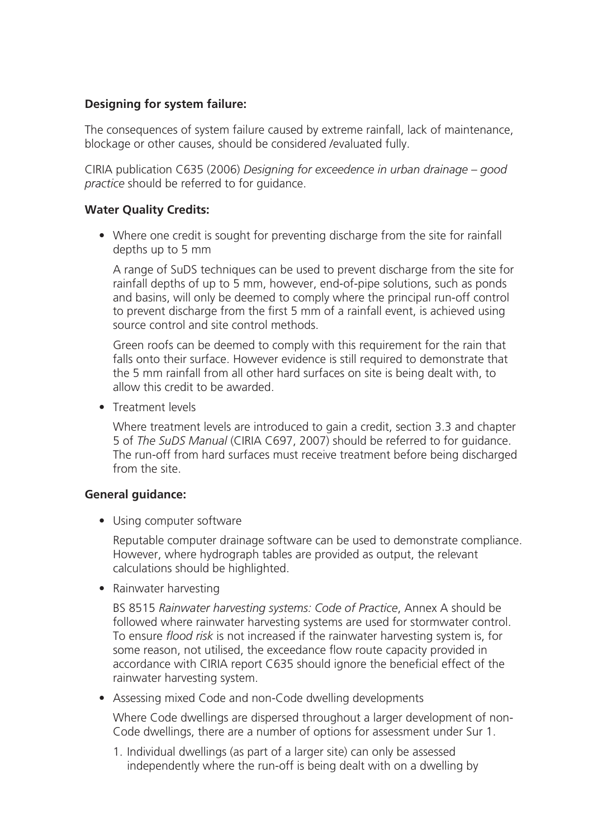#### **Designing for system failure:**

The consequences of system failure caused by extreme rainfall, lack of maintenance, blockage or other causes, should be considered /evaluated fully.

CIRIA publication C635 (2006) *Designing for exceedence in urban drainage – good practice* should be referred to for guidance.

#### **Water Quality Credits:**

• Where one credit is sought for preventing discharge from the site for rainfall depths up to 5 mm

A range of SuDS techniques can be used to prevent discharge from the site for rainfall depths of up to 5 mm, however, end-of-pipe solutions, such as ponds and basins, will only be deemed to comply where the principal run-off control to prevent discharge from the first 5 mm of a rainfall event, is achieved using source control and site control methods.

Green roofs can be deemed to comply with this requirement for the rain that falls onto their surface. However evidence is still required to demonstrate that the 5 mm rainfall from all other hard surfaces on site is being dealt with, to allow this credit to be awarded.

• Treatment levels

Where treatment levels are introduced to gain a credit, section 3.3 and chapter 5 of *The SuDS Manual* (CIRIA C697, 2007) should be referred to for guidance. The run-off from hard surfaces must receive treatment before being discharged from the site.

#### **General guidance:**

• Using computer software

Reputable computer drainage software can be used to demonstrate compliance. However, where hydrograph tables are provided as output, the relevant calculations should be highlighted.

• Rainwater harvesting

BS 8515 *Rainwater harvesting systems: Code of Practice*, Annex A should be followed where rainwater harvesting systems are used for stormwater control. To ensure *flood risk* is not increased if the rainwater harvesting system is, for some reason, not utilised, the exceedance flow route capacity provided in accordance with CIRIA report C635 should ignore the beneficial effect of the rainwater harvesting system.

• Assessing mixed Code and non-Code dwelling developments

Where Code dwellings are dispersed throughout a larger development of non-Code dwellings, there are a number of options for assessment under Sur 1.

1. Individual dwellings (as part of a larger site) can only be assessed independently where the run-off is being dealt with on a dwelling by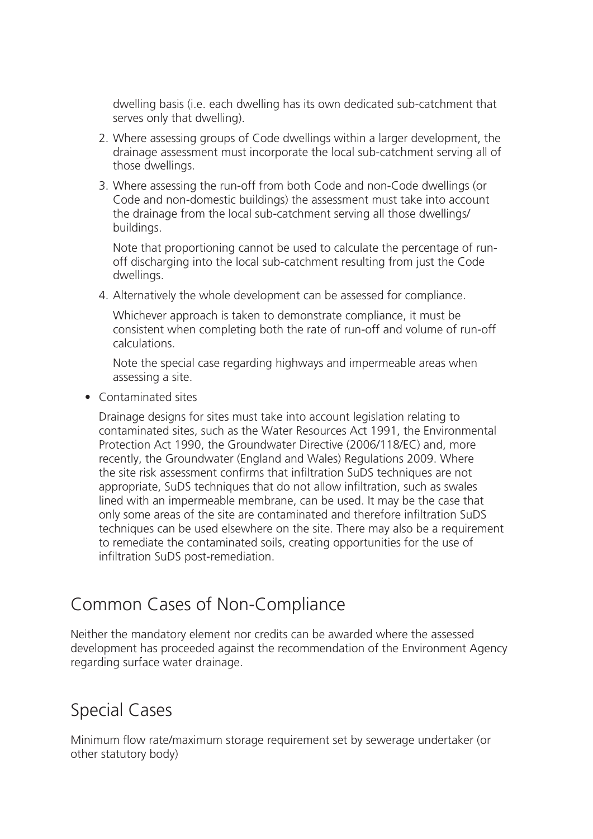dwelling basis (i.e. each dwelling has its own dedicated sub-catchment that serves only that dwelling).

- 2. Where assessing groups of Code dwellings within a larger development, the drainage assessment must incorporate the local sub-catchment serving all of those dwellings.
- 3. Where assessing the run-off from both Code and non-Code dwellings (or Code and non-domestic buildings) the assessment must take into account the drainage from the local sub-catchment serving all those dwellings/ buildings.

Note that proportioning cannot be used to calculate the percentage of runoff discharging into the local sub-catchment resulting from just the Code dwellings.

4. Alternatively the whole development can be assessed for compliance.

Whichever approach is taken to demonstrate compliance, it must be consistent when completing both the rate of run-off and volume of run-off calculations.

Note the special case regarding highways and impermeable areas when assessing a site.

• Contaminated sites

Drainage designs for sites must take into account legislation relating to contaminated sites, such as the Water Resources Act 1991, the Environmental Protection Act 1990, the Groundwater Directive (2006/118/EC) and, more recently, the Groundwater (England and Wales) Regulations 2009. Where the site risk assessment confirms that infiltration SuDS techniques are not appropriate, SuDS techniques that do not allow infiltration, such as swales lined with an impermeable membrane, can be used. It may be the case that only some areas of the site are contaminated and therefore infiltration SuDS techniques can be used elsewhere on the site. There may also be a requirement to remediate the contaminated soils, creating opportunities for the use of infiltration SuDS post-remediation.

# Common Cases of Non-Compliance

Neither the mandatory element nor credits can be awarded where the assessed development has proceeded against the recommendation of the Environment Agency regarding surface water drainage.

# Special Cases

Minimum flow rate/maximum storage requirement set by sewerage undertaker (or other statutory body)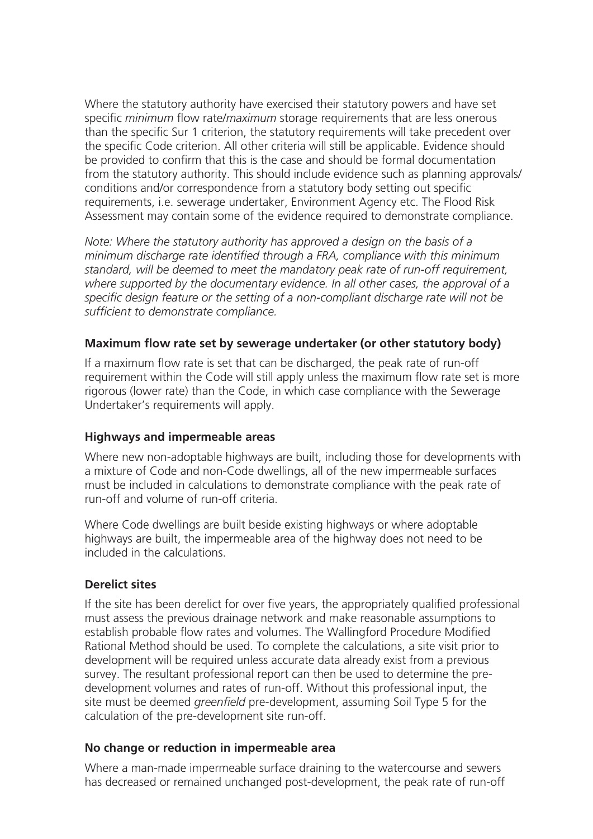Where the statutory authority have exercised their statutory powers and have set specific *minimum* flow rate/*maximum* storage requirements that are less onerous than the specific Sur 1 criterion, the statutory requirements will take precedent over the specific Code criterion. All other criteria will still be applicable. Evidence should be provided to confirm that this is the case and should be formal documentation from the statutory authority. This should include evidence such as planning approvals/ conditions and/or correspondence from a statutory body setting out specific requirements, i.e. sewerage undertaker, Environment Agency etc. The Flood Risk Assessment may contain some of the evidence required to demonstrate compliance.

*Note: Where the statutory authority has approved a design on the basis of a minimum discharge rate identified through a FRA, compliance with this minimum standard, will be deemed to meet the mandatory peak rate of run-off requirement, where supported by the documentary evidence. In all other cases, the approval of a specific design feature or the setting of a non-compliant discharge rate will not be sufficient to demonstrate compliance.*

#### **Maximum flow rate set by sewerage undertaker (or other statutory body)**

If a maximum flow rate is set that can be discharged, the peak rate of run-off requirement within the Code will still apply unless the maximum flow rate set is more rigorous (lower rate) than the Code, in which case compliance with the Sewerage Undertaker's requirements will apply.

#### **Highways and impermeable areas**

Where new non-adoptable highways are built, including those for developments with a mixture of Code and non-Code dwellings, all of the new impermeable surfaces must be included in calculations to demonstrate compliance with the peak rate of run-off and volume of run-off criteria.

Where Code dwellings are built beside existing highways or where adoptable highways are built, the impermeable area of the highway does not need to be included in the calculations.

#### **Derelict sites**

If the site has been derelict for over five years, the appropriately qualified professional must assess the previous drainage network and make reasonable assumptions to establish probable flow rates and volumes. The Wallingford Procedure Modified Rational Method should be used. To complete the calculations, a site visit prior to development will be required unless accurate data already exist from a previous survey. The resultant professional report can then be used to determine the predevelopment volumes and rates of run-off. Without this professional input, the site must be deemed *greenfield* pre-development, assuming Soil Type 5 for the calculation of the pre-development site run-off.

#### **No change or reduction in impermeable area**

Where a man-made impermeable surface draining to the watercourse and sewers has decreased or remained unchanged post-development, the peak rate of run-off